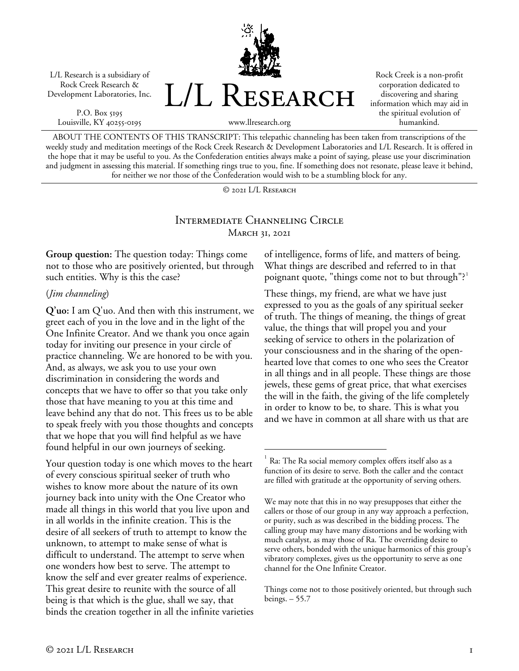L/L Research is a subsidiary of Rock Creek Research & Development Laboratories, Inc.

P.O. Box 5195 Louisville, KY 40255-0195 L/L Research

Rock Creek is a non-profit corporation dedicated to discovering and sharing information which may aid in the spiritual evolution of humankind.

www.llresearch.org

ABOUT THE CONTENTS OF THIS TRANSCRIPT: This telepathic channeling has been taken from transcriptions of the weekly study and meditation meetings of the Rock Creek Research & Development Laboratories and L/L Research. It is offered in the hope that it may be useful to you. As the Confederation entities always make a point of saying, please use your discrimination and judgment in assessing this material. If something rings true to you, fine. If something does not resonate, please leave it behind, for neither we nor those of the Confederation would wish to be a stumbling block for any.

© 2021 L/L Research

## Intermediate Channeling Circle **MARCH 31, 2021**

**Group question:** The question today: Things come not to those who are positively oriented, but through such entities. Why is this the case?

#### (*Jim channeling*)

**Q'uo:** I am Q'uo. And then with this instrument, we greet each of you in the love and in the light of the One Infinite Creator. And we thank you once again today for inviting our presence in your circle of practice channeling. We are honored to be with you. And, as always, we ask you to use your own discrimination in considering the words and concepts that we have to offer so that you take only those that have meaning to you at this time and leave behind any that do not. This frees us to be able to speak freely with you those thoughts and concepts that we hope that you will find helpful as we have found helpful in our own journeys of seeking.

<span id="page-0-0"></span>Your question today is one which moves to the heart of every conscious spiritual seeker of truth who wishes to know more about the nature of its own journey back into unity with the One Creator who made all things in this world that you live upon and in all worlds in the infinite creation. This is the desire of all seekers of truth to attempt to know the unknown, to attempt to make sense of what is difficult to understand. The attempt to serve when one wonders how best to serve. The attempt to know the self and ever greater realms of experience. This great desire to reunite with the source of all being is that which is the glue, shall we say, that binds the creation together in all the infinite varieties of intelligence, forms of life, and matters of being. What things are described and referred to in that poignant quote, "things come not to but through"?<sup>[1](#page-0-0)</sup>

These things, my friend, are what we have just expressed to you as the goals of any spiritual seeker of truth. The things of meaning, the things of great value, the things that will propel you and your seeking of service to others in the polarization of your consciousness and in the sharing of the openhearted love that comes to one who sees the Creator in all things and in all people. These things are those jewels, these gems of great price, that what exercises the will in the faith, the giving of the life completely in order to know to be, to share. This is what you and we have in common at all share with us that are

Ra: The Ra social memory complex offers itself also as a function of its desire to serve. Both the caller and the contact are filled with gratitude at the opportunity of serving others.

We may note that this in no way presupposes that either the callers or those of our group in any way approach a perfection, or purity, such as was described in the bidding process. The calling group may have many distortions and be working with much catalyst, as may those of Ra. The overriding desire to serve others, bonded with the unique harmonics of this group's vibratory complexes, gives us the opportunity to serve as one channel for the One Infinite Creator.

Things come not to those positively oriented, but through such beings. – 55.7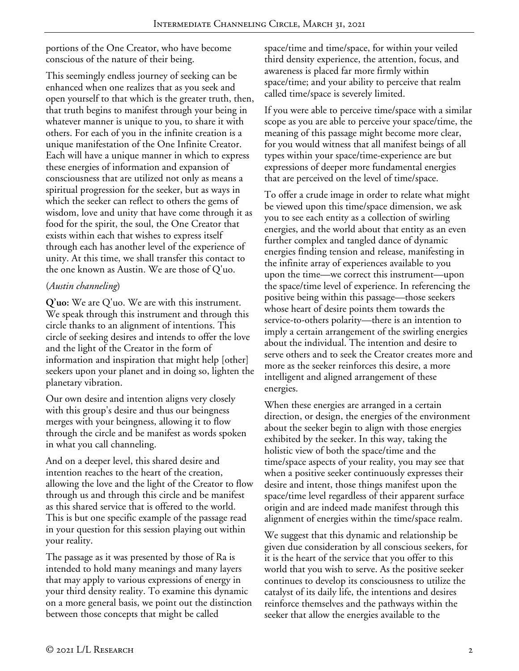portions of the One Creator, who have become conscious of the nature of their being.

This seemingly endless journey of seeking can be enhanced when one realizes that as you seek and open yourself to that which is the greater truth, then, that truth begins to manifest through your being in whatever manner is unique to you, to share it with others. For each of you in the infinite creation is a unique manifestation of the One Infinite Creator. Each will have a unique manner in which to express these energies of information and expansion of consciousness that are utilized not only as means a spiritual progression for the seeker, but as ways in which the seeker can reflect to others the gems of wisdom, love and unity that have come through it as food for the spirit, the soul, the One Creator that exists within each that wishes to express itself through each has another level of the experience of unity. At this time, we shall transfer this contact to the one known as Austin. We are those of Q'uo.

# (*Austin channeling*)

**Q'uo:** We are Q'uo. We are with this instrument. We speak through this instrument and through this circle thanks to an alignment of intentions. This circle of seeking desires and intends to offer the love and the light of the Creator in the form of information and inspiration that might help [other] seekers upon your planet and in doing so, lighten the planetary vibration.

Our own desire and intention aligns very closely with this group's desire and thus our beingness merges with your beingness, allowing it to flow through the circle and be manifest as words spoken in what you call channeling.

And on a deeper level, this shared desire and intention reaches to the heart of the creation, allowing the love and the light of the Creator to flow through us and through this circle and be manifest as this shared service that is offered to the world. This is but one specific example of the passage read in your question for this session playing out within your reality.

The passage as it was presented by those of Ra is intended to hold many meanings and many layers that may apply to various expressions of energy in your third density reality. To examine this dynamic on a more general basis, we point out the distinction between those concepts that might be called

space/time and time/space, for within your veiled third density experience, the attention, focus, and awareness is placed far more firmly within space/time; and your ability to perceive that realm called time/space is severely limited.

If you were able to perceive time/space with a similar scope as you are able to perceive your space/time, the meaning of this passage might become more clear, for you would witness that all manifest beings of all types within your space/time-experience are but expressions of deeper more fundamental energies that are perceived on the level of time/space.

To offer a crude image in order to relate what might be viewed upon this time/space dimension, we ask you to see each entity as a collection of swirling energies, and the world about that entity as an even further complex and tangled dance of dynamic energies finding tension and release, manifesting in the infinite array of experiences available to you upon the time—we correct this instrument—upon the space/time level of experience. In referencing the positive being within this passage—those seekers whose heart of desire points them towards the service-to-others polarity—there is an intention to imply a certain arrangement of the swirling energies about the individual. The intention and desire to serve others and to seek the Creator creates more and more as the seeker reinforces this desire, a more intelligent and aligned arrangement of these energies.

When these energies are arranged in a certain direction, or design, the energies of the environment about the seeker begin to align with those energies exhibited by the seeker. In this way, taking the holistic view of both the space/time and the time/space aspects of your reality, you may see that when a positive seeker continuously expresses their desire and intent, those things manifest upon the space/time level regardless of their apparent surface origin and are indeed made manifest through this alignment of energies within the time/space realm.

We suggest that this dynamic and relationship be given due consideration by all conscious seekers, for it is the heart of the service that you offer to this world that you wish to serve. As the positive seeker continues to develop its consciousness to utilize the catalyst of its daily life, the intentions and desires reinforce themselves and the pathways within the seeker that allow the energies available to the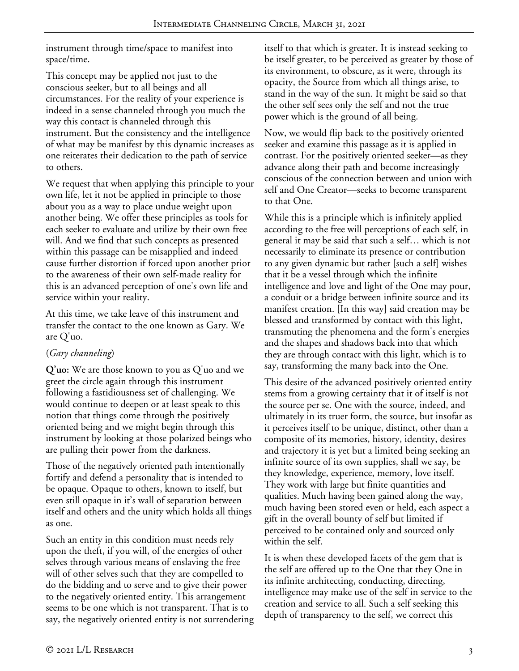instrument through time/space to manifest into space/time.

This concept may be applied not just to the conscious seeker, but to all beings and all circumstances. For the reality of your experience is indeed in a sense channeled through you much the way this contact is channeled through this instrument. But the consistency and the intelligence of what may be manifest by this dynamic increases as one reiterates their dedication to the path of service to others.

We request that when applying this principle to your own life, let it not be applied in principle to those about you as a way to place undue weight upon another being. We offer these principles as tools for each seeker to evaluate and utilize by their own free will. And we find that such concepts as presented within this passage can be misapplied and indeed cause further distortion if forced upon another prior to the awareness of their own self-made reality for this is an advanced perception of one's own life and service within your reality.

At this time, we take leave of this instrument and transfer the contact to the one known as Gary. We are Q'uo.

# (*Gary channeling*)

**Q'uo:** We are those known to you as Q'uo and we greet the circle again through this instrument following a fastidiousness set of challenging. We would continue to deepen or at least speak to this notion that things come through the positively oriented being and we might begin through this instrument by looking at those polarized beings who are pulling their power from the darkness.

Those of the negatively oriented path intentionally fortify and defend a personality that is intended to be opaque. Opaque to others, known to itself, but even still opaque in it's wall of separation between itself and others and the unity which holds all things as one.

Such an entity in this condition must needs rely upon the theft, if you will, of the energies of other selves through various means of enslaving the free will of other selves such that they are compelled to do the bidding and to serve and to give their power to the negatively oriented entity. This arrangement seems to be one which is not transparent. That is to say, the negatively oriented entity is not surrendering itself to that which is greater. It is instead seeking to be itself greater, to be perceived as greater by those of its environment, to obscure, as it were, through its opacity, the Source from which all things arise, to stand in the way of the sun. It might be said so that the other self sees only the self and not the true power which is the ground of all being.

Now, we would flip back to the positively oriented seeker and examine this passage as it is applied in contrast. For the positively oriented seeker—as they advance along their path and become increasingly conscious of the connection between and union with self and One Creator—seeks to become transparent to that One.

While this is a principle which is infinitely applied according to the free will perceptions of each self, in general it may be said that such a self… which is not necessarily to eliminate its presence or contribution to any given dynamic but rather [such a self] wishes that it be a vessel through which the infinite intelligence and love and light of the One may pour, a conduit or a bridge between infinite source and its manifest creation. [In this way] said creation may be blessed and transformed by contact with this light, transmuting the phenomena and the form's energies and the shapes and shadows back into that which they are through contact with this light, which is to say, transforming the many back into the One.

This desire of the advanced positively oriented entity stems from a growing certainty that it of itself is not the source per se. One with the source, indeed, and ultimately in its truer form, the source, but insofar as it perceives itself to be unique, distinct, other than a composite of its memories, history, identity, desires and trajectory it is yet but a limited being seeking an infinite source of its own supplies, shall we say, be they knowledge, experience, memory, love itself. They work with large but finite quantities and qualities. Much having been gained along the way, much having been stored even or held, each aspect a gift in the overall bounty of self but limited if perceived to be contained only and sourced only within the self.

It is when these developed facets of the gem that is the self are offered up to the One that they One in its infinite architecting, conducting, directing, intelligence may make use of the self in service to the creation and service to all. Such a self seeking this depth of transparency to the self, we correct this